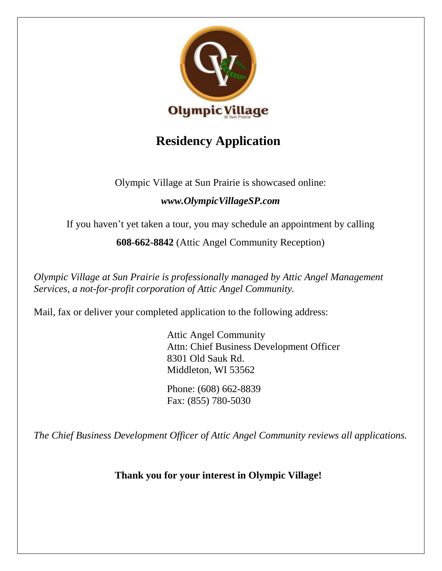

## **Residency Application**

Olympic Village at Sun Prairie is showcased online:

## *[www.OlympicVillageSP.com](http://www.olympicvillagesp.com/)*

If you haven't yet taken a tour, you may schedule an appointment by calling

**608-662-8842** (Attic Angel Community Reception)

*Olympic Village at Sun Prairie is professionally managed by Attic Angel Management Services, a not-for-profit corporation of Attic Angel Community.*

Mail, fax or deliver your completed application to the following address:

Attic Angel Community Attn: Chief Business Development Officer 8301 Old Sauk Rd. Middleton, WI 53562

Phone: (608) 662-8839 Fax: (855) 780-5030

*The Chief Business Development Officer of Attic Angel Community reviews all applications.*

**Thank you for your interest in Olympic Village!**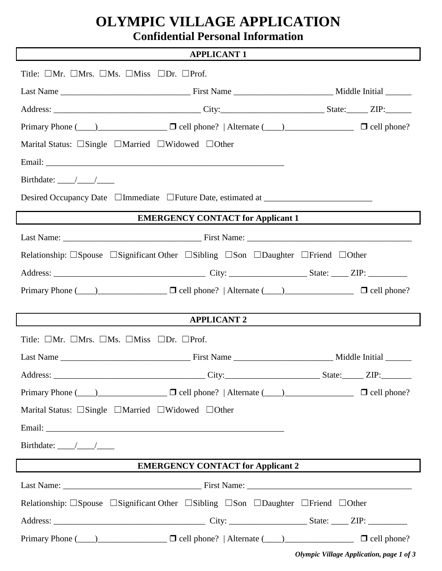# **OLYMPIC VILLAGE APPLICATION**

**Confidential Personal Information**

#### **APPLICANT 1**

| Title: $\Box$ Mr. $\Box$ Mrs. $\Box$ Ms. $\Box$ Miss $\Box$ Dr. $\Box$ Prof.                                                                                                                                                                                                             |                                          |  |  |  |
|------------------------------------------------------------------------------------------------------------------------------------------------------------------------------------------------------------------------------------------------------------------------------------------|------------------------------------------|--|--|--|
|                                                                                                                                                                                                                                                                                          |                                          |  |  |  |
|                                                                                                                                                                                                                                                                                          |                                          |  |  |  |
| Primary Phone $(\_\_\_\_)$ $\_\_\_\_\_$ $\_\_\_$ $\_\_$ are $\_\_\_\_\_$ $\_\_$ are $\_\_\_\_\_\_$ $\_\_\_\_\_$ are $\_\_\_\_\_\_\_$ $\_\_\_\_\_\_$ $\_\_\_\_\_$ $\_\_\_\_$ $\_\_$ $\_\_$ $\_\_$ $\_\_$ $\_\_$ $\_\_$ $\_\_$ $\_\_$ $\_\_$ $\_\_$ $\_\_$ $\_\_$ $\_\_$ $\_\_$ $\_\_$ $\$ |                                          |  |  |  |
| Marital Status: $\Box$ Single $\Box$ Married $\Box$ Widowed $\Box$ Other                                                                                                                                                                                                                 |                                          |  |  |  |
|                                                                                                                                                                                                                                                                                          |                                          |  |  |  |
|                                                                                                                                                                                                                                                                                          |                                          |  |  |  |
| Desired Occupancy Date □Immediate □Future Date, estimated at ___________________                                                                                                                                                                                                         |                                          |  |  |  |
|                                                                                                                                                                                                                                                                                          | <b>EMERGENCY CONTACT for Applicant 1</b> |  |  |  |
|                                                                                                                                                                                                                                                                                          |                                          |  |  |  |
| Relationship: $\Box$ Spouse $\Box$ Significant Other $\Box$ Sibling $\Box$ Son $\Box$ Daughter $\Box$ Friend $\Box$ Other                                                                                                                                                                |                                          |  |  |  |
|                                                                                                                                                                                                                                                                                          |                                          |  |  |  |
| Primary Phone $(\_\_\_\_)$ $\_\_\_\_\_$ $\_\_\_$ $\_\_$ are left phone?   Alternate $(\_\_\_\)_$ $\_\_\_\_\_\_$ $\_\_$ $\_\_$ $\_\_$ eell phone?                                                                                                                                         |                                          |  |  |  |
|                                                                                                                                                                                                                                                                                          |                                          |  |  |  |
|                                                                                                                                                                                                                                                                                          | <b>APPLICANT 2</b>                       |  |  |  |
| Title: $\Box$ Mr. $\Box$ Mrs. $\Box$ Ms. $\Box$ Miss $\Box$ Dr. $\Box$ Prof.                                                                                                                                                                                                             |                                          |  |  |  |
|                                                                                                                                                                                                                                                                                          |                                          |  |  |  |
|                                                                                                                                                                                                                                                                                          |                                          |  |  |  |
| Primary Phone $(\_\_\)$ $\_\_\_\_\_$ $\_\_\_\_$ $\_\_\_\_$ $\_\_\_$ are left phone?   Alternate $(\_\_\)_\_\_\_\_\_\_$ $\_\_\_\_\_$ $\_\_\_\_$ $\_\_\_\_$ $\_\_$ $\_\_$ $\_\_$ $\_\_$ $\_\_$ $\_\_$ $\_\_$ $\_\_$ $\_\_$ $\_\_$ $\_\_$ $\_\_$ $\_\_$ $\_\_$ $\_\_$ $\_\_$ $\_\_$         |                                          |  |  |  |
| Marital Status: □Single □Married □Widowed □Other                                                                                                                                                                                                                                         |                                          |  |  |  |
|                                                                                                                                                                                                                                                                                          |                                          |  |  |  |
|                                                                                                                                                                                                                                                                                          |                                          |  |  |  |
| <b>EMERGENCY CONTACT for Applicant 2</b>                                                                                                                                                                                                                                                 |                                          |  |  |  |
|                                                                                                                                                                                                                                                                                          |                                          |  |  |  |
| Relationship: $\Box$ Spouse $\Box$ Significant Other $\Box$ Sibling $\Box$ Son $\Box$ Daughter $\Box$ Friend $\Box$ Other                                                                                                                                                                |                                          |  |  |  |
|                                                                                                                                                                                                                                                                                          |                                          |  |  |  |
| Primary Phone $(\_\_\)$ $\_\_\_\_\_$ $\_\_\_\_$ $\_\_\_\_$ are left phone?   Alternate $(\_\_\)_\_\_\_\_\_\_$ $\_\_\_\_\_\_$ $\_\_\_\_\_$ cell phone?                                                                                                                                    |                                          |  |  |  |

*Olympic Village Application, page 1 of 3*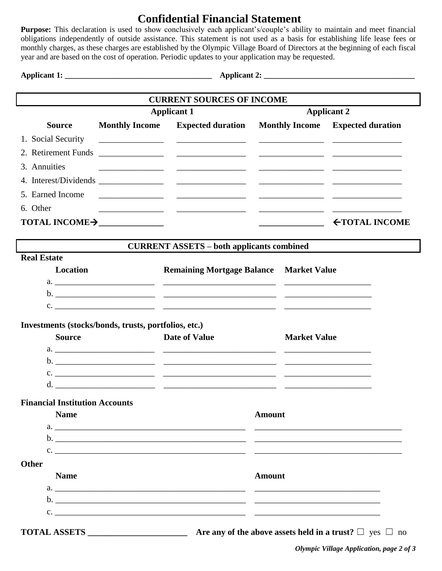### **Confidential Financial Statement**

**Purpose:** This declaration is used to show conclusively each applicant's/couple's ability to maintain and meet financial obligations independently of outside assistance. This statement is not used as a basis for establishing life lease fees or monthly charges, as these charges are established by the Olympic Village Board of Directors at the beginning of each fiscal year and are based on the cost of operation. Periodic updates to your application may be requested.

**Applicant 1: \_\_\_\_\_\_\_\_\_\_\_\_\_\_\_\_\_\_\_\_\_\_\_\_\_\_\_\_\_\_\_\_\_\_\_\_\_ Applicant 2: \_\_\_\_\_\_\_\_\_\_\_\_\_\_\_\_\_\_\_\_\_\_\_\_\_\_\_\_\_\_\_\_\_\_\_\_\_\_**

| <b>CURRENT SOURCES OF INCOME</b>                                        |                       |                                                                                                                                                                                                                                                                                                                                                                  |                    |                     |                      |  |
|-------------------------------------------------------------------------|-----------------------|------------------------------------------------------------------------------------------------------------------------------------------------------------------------------------------------------------------------------------------------------------------------------------------------------------------------------------------------------------------|--------------------|---------------------|----------------------|--|
|                                                                         | <b>Applicant 1</b>    |                                                                                                                                                                                                                                                                                                                                                                  | <b>Applicant 2</b> |                     |                      |  |
| <b>Source</b>                                                           | <b>Monthly Income</b> | <b>Expected duration</b> Monthly Income Expected duration                                                                                                                                                                                                                                                                                                        |                    |                     |                      |  |
| 1. Social Security                                                      |                       |                                                                                                                                                                                                                                                                                                                                                                  |                    |                     |                      |  |
|                                                                         |                       |                                                                                                                                                                                                                                                                                                                                                                  |                    |                     |                      |  |
| 3. Annuities                                                            |                       | <u> 1989 - Johann Harry Harry Harry Harry Harry Harry Harry Harry Harry Harry Harry Harry Harry Harry Harry Harry</u>                                                                                                                                                                                                                                            |                    |                     |                      |  |
|                                                                         |                       |                                                                                                                                                                                                                                                                                                                                                                  |                    |                     |                      |  |
| 5. Earned Income                                                        |                       |                                                                                                                                                                                                                                                                                                                                                                  |                    |                     |                      |  |
| 6. Other                                                                |                       |                                                                                                                                                                                                                                                                                                                                                                  |                    |                     |                      |  |
| TOTAL INCOME >                                                          |                       |                                                                                                                                                                                                                                                                                                                                                                  |                    |                     | <b>←TOTAL INCOME</b> |  |
|                                                                         |                       |                                                                                                                                                                                                                                                                                                                                                                  |                    |                     |                      |  |
| <b>Real Estate</b>                                                      |                       | <b>CURRENT ASSETS – both applicants combined</b>                                                                                                                                                                                                                                                                                                                 |                    |                     |                      |  |
| Location                                                                |                       | <b>Remaining Mortgage Balance Market Value</b>                                                                                                                                                                                                                                                                                                                   |                    |                     |                      |  |
|                                                                         |                       |                                                                                                                                                                                                                                                                                                                                                                  |                    |                     |                      |  |
|                                                                         |                       |                                                                                                                                                                                                                                                                                                                                                                  |                    |                     |                      |  |
|                                                                         |                       | $c.$ $\overline{\phantom{a}}$                                                                                                                                                                                                                                                                                                                                    |                    |                     |                      |  |
| Investments (stocks/bonds, trusts, portfolios, etc.)<br><b>Source</b>   |                       | <b>Date of Value</b>                                                                                                                                                                                                                                                                                                                                             |                    | <b>Market Value</b> |                      |  |
|                                                                         |                       |                                                                                                                                                                                                                                                                                                                                                                  |                    |                     |                      |  |
|                                                                         |                       |                                                                                                                                                                                                                                                                                                                                                                  |                    |                     |                      |  |
|                                                                         |                       |                                                                                                                                                                                                                                                                                                                                                                  |                    |                     |                      |  |
| <b>Financial Institution Accounts</b>                                   |                       |                                                                                                                                                                                                                                                                                                                                                                  |                    |                     |                      |  |
| <b>Name</b>                                                             |                       |                                                                                                                                                                                                                                                                                                                                                                  | <b>Amount</b>      |                     |                      |  |
|                                                                         |                       |                                                                                                                                                                                                                                                                                                                                                                  |                    |                     |                      |  |
|                                                                         |                       |                                                                                                                                                                                                                                                                                                                                                                  |                    |                     |                      |  |
|                                                                         |                       | $\mathbf{c}.$ $\qquad \qquad$ $\qquad \qquad$ $\qquad$ $\qquad$ $\qquad \qquad$ $\qquad \qquad$ $\qquad \qquad$ $\qquad \qquad$ $\qquad \qquad$ $\qquad \qquad$ $\qquad$ $\qquad$ $\qquad$ $\qquad$ $\qquad$ $\qquad$ $\qquad$ $\qquad$ $\qquad$ $\qquad$ $\qquad$ $\qquad$ $\qquad$ $\qquad$ $\qquad$ $\qquad$ $\qquad$ $\qquad$ $\qquad$ $\qquad$ $\qquad$ $\$ |                    |                     |                      |  |
| <b>Other</b><br><b>Name</b>                                             |                       |                                                                                                                                                                                                                                                                                                                                                                  | <b>Amount</b>      |                     |                      |  |
|                                                                         |                       |                                                                                                                                                                                                                                                                                                                                                                  |                    |                     |                      |  |
|                                                                         |                       |                                                                                                                                                                                                                                                                                                                                                                  |                    |                     |                      |  |
|                                                                         |                       |                                                                                                                                                                                                                                                                                                                                                                  |                    |                     |                      |  |
| Are any of the above assets held in a trust? $\square$ yes $\square$ no |                       |                                                                                                                                                                                                                                                                                                                                                                  |                    |                     |                      |  |